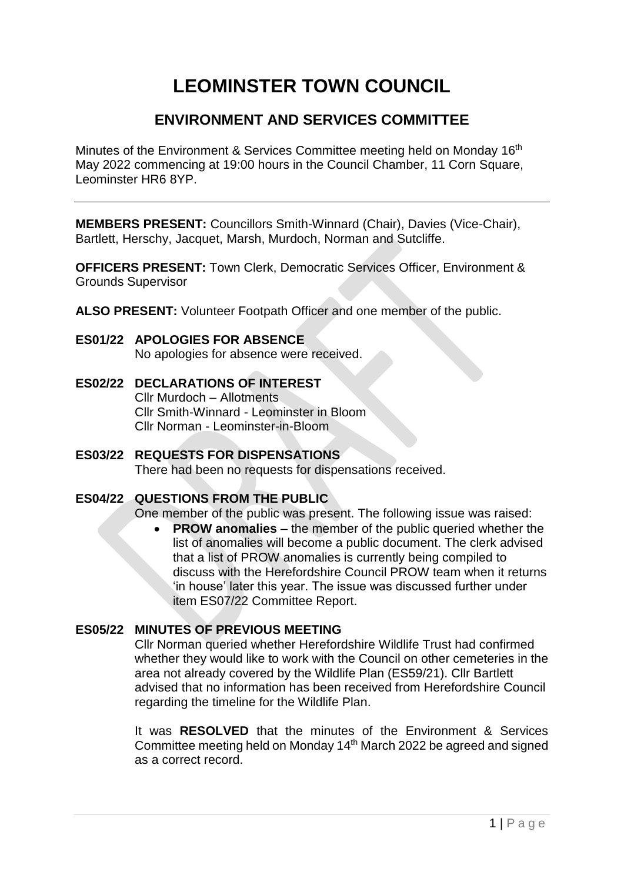# **LEOMINSTER TOWN COUNCIL**

# **ENVIRONMENT AND SERVICES COMMITTEE**

Minutes of the Environment & Services Committee meeting held on Monday 16<sup>th</sup> May 2022 commencing at 19:00 hours in the Council Chamber, 11 Corn Square, Leominster HR6 8YP.

**MEMBERS PRESENT:** Councillors Smith-Winnard (Chair), Davies (Vice-Chair), Bartlett, Herschy, Jacquet, Marsh, Murdoch, Norman and Sutcliffe.

**OFFICERS PRESENT:** Town Clerk, Democratic Services Officer, Environment & Grounds Supervisor

**ALSO PRESENT:** Volunteer Footpath Officer and one member of the public.

- **ES01/22 APOLOGIES FOR ABSENCE** No apologies for absence were received.
- **ES02/22 DECLARATIONS OF INTEREST** Cllr Murdoch – Allotments Cllr Smith-Winnard - Leominster in Bloom Cllr Norman - Leominster-in-Bloom
- **ES03/22 REQUESTS FOR DISPENSATIONS** There had been no requests for dispensations received.

#### **ES04/22 QUESTIONS FROM THE PUBLIC**

One member of the public was present. The following issue was raised:

 **PROW anomalies** – the member of the public queried whether the list of anomalies will become a public document. The clerk advised that a list of PROW anomalies is currently being compiled to discuss with the Herefordshire Council PROW team when it returns 'in house' later this year. The issue was discussed further under item ES07/22 Committee Report.

## **ES05/22 MINUTES OF PREVIOUS MEETING**

Cllr Norman queried whether Herefordshire Wildlife Trust had confirmed whether they would like to work with the Council on other cemeteries in the area not already covered by the Wildlife Plan (ES59/21). Cllr Bartlett advised that no information has been received from Herefordshire Council regarding the timeline for the Wildlife Plan.

It was **RESOLVED** that the minutes of the Environment & Services Committee meeting held on Monday 14th March 2022 be agreed and signed as a correct record.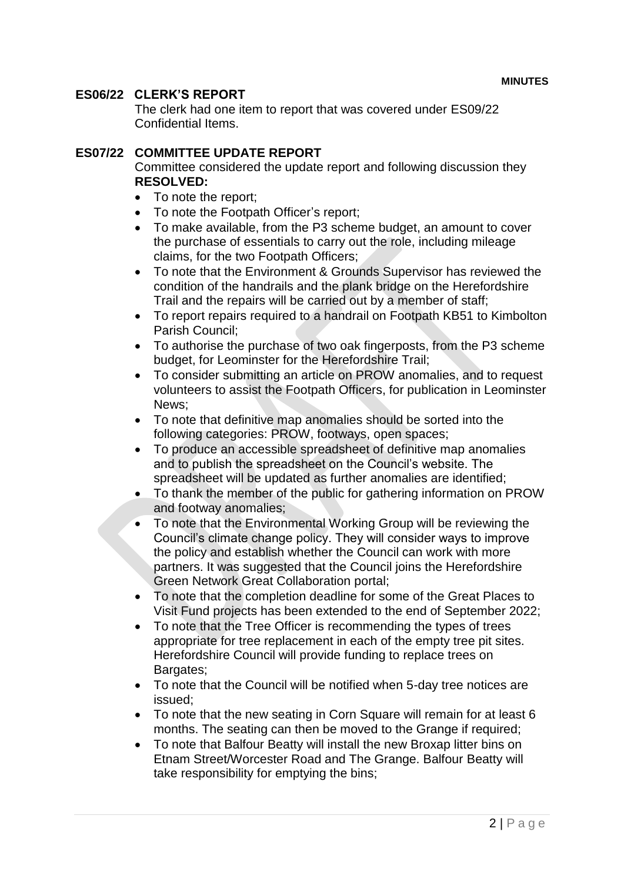#### **ES06/22 CLERK'S REPORT**

The clerk had one item to report that was covered under ES09/22 Confidential Items.

#### **ES07/22 COMMITTEE UPDATE REPORT**

Committee considered the update report and following discussion they **RESOLVED:**

- To note the report;
- To note the Footpath Officer's report;
- To make available, from the P3 scheme budget, an amount to cover the purchase of essentials to carry out the role, including mileage claims, for the two Footpath Officers;
- To note that the Environment & Grounds Supervisor has reviewed the condition of the handrails and the plank bridge on the Herefordshire Trail and the repairs will be carried out by a member of staff;
- To report repairs required to a handrail on Footpath KB51 to Kimbolton Parish Council;
- To authorise the purchase of two oak fingerposts, from the P3 scheme budget, for Leominster for the Herefordshire Trail;
- To consider submitting an article on PROW anomalies, and to request volunteers to assist the Footpath Officers, for publication in Leominster News;
- To note that definitive map anomalies should be sorted into the following categories: PROW, footways, open spaces;
- To produce an accessible spreadsheet of definitive map anomalies and to publish the spreadsheet on the Council's website. The spreadsheet will be updated as further anomalies are identified;
- To thank the member of the public for gathering information on PROW and footway anomalies;
- To note that the Environmental Working Group will be reviewing the Council's climate change policy. They will consider ways to improve the policy and establish whether the Council can work with more partners. It was suggested that the Council joins the Herefordshire Green Network Great Collaboration portal;
- To note that the completion deadline for some of the Great Places to Visit Fund projects has been extended to the end of September 2022;
- To note that the Tree Officer is recommending the types of trees appropriate for tree replacement in each of the empty tree pit sites. Herefordshire Council will provide funding to replace trees on Bargates;
- To note that the Council will be notified when 5-day tree notices are issued;
- To note that the new seating in Corn Square will remain for at least 6 months. The seating can then be moved to the Grange if required;
- To note that Balfour Beatty will install the new Broxap litter bins on Etnam Street/Worcester Road and The Grange. Balfour Beatty will take responsibility for emptying the bins;